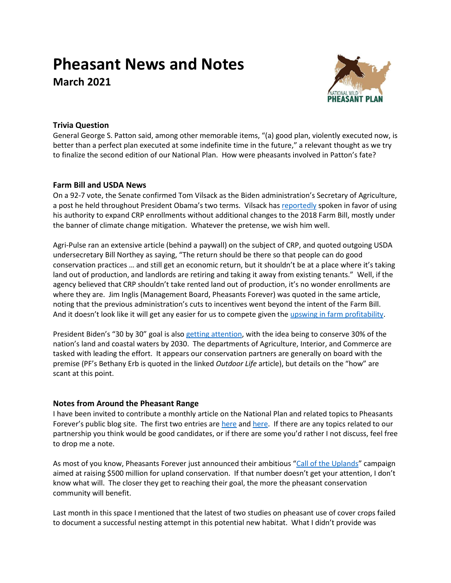# **Pheasant News and Notes March 2021**



## **Trivia Question**

General George S. Patton said, among other memorable items, "(a) good plan, violently executed now, is better than a perfect plan executed at some indefinite time in the future," a relevant thought as we try to finalize the second edition of our National Plan. How were pheasants involved in Patton's fate?

#### **Farm Bill and USDA News**

On a 92-7 vote, the Senate confirmed Tom Vilsack as the Biden administration's Secretary of Agriculture, a post he held throughout President Obama's two terms. Vilsack ha[s reportedly](https://www.stormlake.com/articles/vilsack-sees-big-shift-in-ag-induced-by-climate/) spoken in favor of using his authority to expand CRP enrollments without additional changes to the 2018 Farm Bill, mostly under the banner of climate change mitigation. Whatever the pretense, we wish him well.

Agri-Pulse ran an extensive article (behind a paywall) on the subject of CRP, and quoted outgoing USDA undersecretary Bill Northey as saying, "The return should be there so that people can do good conservation practices … and still get an economic return, but it shouldn't be at a place where it's taking land out of production, and landlords are retiring and taking it away from existing tenants." Well, if the agency believed that CRP shouldn't take rented land out of production, it's no wonder enrollments are where they are. Jim Inglis (Management Board, Pheasants Forever) was quoted in the same article, noting that the previous administration's cuts to incentives went beyond the intent of the Farm Bill. And it doesn't look like it will get any easier for us to compete given the [upswing in farm profitability.](https://www.agriculture.com/farm-management/business-planning/2021-is-an-economic-game-changer-for-farmers)

President Biden's "30 by 30" goal is also [getting attention,](https://www.outdoorlife.com/story/hunting/biden-30-by-30-conservation-order/) with the idea being to conserve 30% of the nation's land and coastal waters by 2030. The departments of Agriculture, Interior, and Commerce are tasked with leading the effort. It appears our conservation partners are generally on board with the premise (PF's Bethany Erb is quoted in the linked *Outdoor Life* article), but details on the "how" are scant at this point.

## **Notes from Around the Pheasant Range**

I have been invited to contribute a monthly article on the National Plan and related topics to Pheasants Forever's public blog site. The first two entries ar[e here](https://www.pheasantsforever.org/BlogLanding/Blogs/Pheasants-Forever/National-Wild-Pheasant-Conservation-Plan-Being-Revised-for-the-Times.aspx) and [here.](https://www.pheasantsforever.org/BlogLanding/Blogs/Pheasants-Forever/The-Dreaded-Question.aspx) If there are any topics related to our partnership you think would be good candidates, or if there are some you'd rather I not discuss, feel free to drop me a note.

As most of you know, Pheasants Forever just announced their ambitious "[Call of the Uplands](https://pheasantsforever.org/call-of-the-uplands.aspx)" campaign aimed at raising \$500 million for upland conservation. If that number doesn't get your attention, I don't know what will. The closer they get to reaching their goal, the more the pheasant conservation community will benefit.

Last month in this space I mentioned that the latest of two studies on pheasant use of cover crops failed to document a successful nesting attempt in this potential new habitat. What I didn't provide was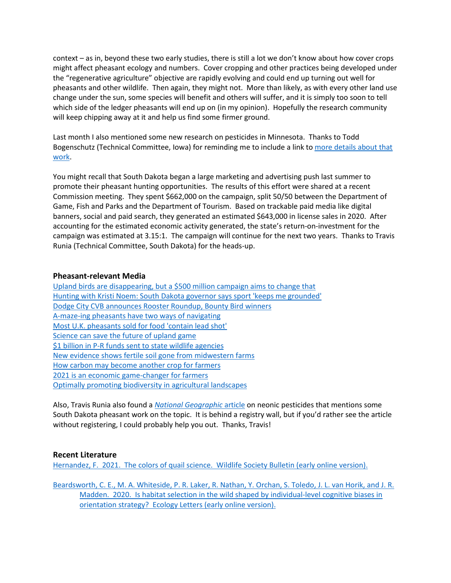context – as in, beyond these two early studies, there is still a lot we don't know about how cover crops might affect pheasant ecology and numbers. Cover cropping and other practices being developed under the "regenerative agriculture" objective are rapidly evolving and could end up turning out well for pheasants and other wildlife. Then again, they might not. More than likely, as with every other land use change under the sun, some species will benefit and others will suffer, and it is simply too soon to tell which side of the ledger pheasants will end up on (in my opinion). Hopefully the research community will keep chipping away at it and help us find some firmer ground.

Last month I also mentioned some new research on pesticides in Minnesota. Thanks to Todd Bogenschutz (Technical Committee, Iowa) for reminding me to include a link to [more details about that](https://files.dnr.state.mn.us/wildlife/research/summaries/2018/habitats/2018habitat001.pdf)  [work.](https://files.dnr.state.mn.us/wildlife/research/summaries/2018/habitats/2018habitat001.pdf)

You might recall that South Dakota began a large marketing and advertising push last summer to promote their pheasant hunting opportunities. The results of this effort were shared at a recent Commission meeting. They spent \$662,000 on the campaign, split 50/50 between the Department of Game, Fish and Parks and the Department of Tourism. Based on trackable paid media like digital banners, social and paid search, they generated an estimated \$643,000 in license sales in 2020. After accounting for the estimated economic activity generated, the state's return-on-investment for the campaign was estimated at 3.15:1. The campaign will continue for the next two years. Thanks to Travis Runia (Technical Committee, South Dakota) for the heads-up.

#### **Pheasant-relevant Media**

[Upland birds are disappearing, but a \\$500 million campaign aims to change that](https://gearjunkie.com/pheasants-quail-forever-call-of-uplands) [Hunting with Kristi Noem: South Dakota governor says sport 'keeps me grounded'](https://www.foxnews.com/media/kristi-noem-hunting-keeps-me-grounded-south-dakota-governor) [Dodge City CVB announces Rooster Roundup, Bounty Bird winners](https://www.dodgeglobe.com/story/news/2021/03/02/dodge-city-cvb-announces-rooster-roundup-bounty-bird-winners/6884151002/) [A-maze-ing pheasants have two ways of navigating](https://www.sciencedaily.com/releases/2021/02/210225082558.htm) [Most U.K. pheasants sold for food 'contain lead shot'](https://www.bbc.com/news/science-environment-56158777) [Science can save the future of upland game](https://projectupland.com/hunting-conservation/science-can-save-the-future-of-upland-game/?emci=29ca492e-4678-eb11-85aa-00155d43c992&emdi=1d7aca93-7578-eb11-85aa-00155d43c992&ceid=1730541) [\\$1 billion in P-R funds sent to state wildlife agencies](https://www.fws.gov/news/ShowNews.cfm?ref=$1-billion-sent-to-state-wildlife-agencies-bolstering-conservation-&_ID=36849) [New evidence shows fertile soil gone from midwestern farms](https://www.npr.org/2021/02/24/967376880/new-evidence-shows-fertile-soil-gone-from-midwestern-farms) [How carbon may become another crop for farmers](https://www.agriculture.com/farm-management/programs-and-policies/how-carbon-may-become-another-crop-for-farmers) [2021 is an economic game-changer for farmers](https://www.agriculture.com/farm-management/business-planning/2021-is-an-economic-game-changer-for-farmers) [Optimally promoting biodiversity in agricultural landscapes](https://phys.org/news/2021-03-optimally-biodiversity-agricultural-landscapes.html)

Also, Travis Runia also found a *[National Geographic](https://www.nationalgeographic.com/environment/article/widely-used-insecticides-may-be-a-threat-to-mammals-too)* article on neonic pesticides that mentions some South Dakota pheasant work on the topic. It is behind a registry wall, but if you'd rather see the article without registering, I could probably help you out. Thanks, Travis!

## **Recent Literature**

[Hernandez, F. 2021. The colors of quail science. Wildlife Society Bulletin \(early online version\).](https://doi.org/10.1002/wsb.1153)

[Beardsworth, C. E., M. A. Whiteside, P. R. Laker, R. Nathan, Y. Orchan, S. Toledo, J. L. van Horik, and J. R.](https://doi.org/10.1111/ele.13694)  Madden. 2020. Is habitat selection in the wild shaped by individual-level cognitive biases in [orientation strategy? Ecology Letters \(early online version\).](https://doi.org/10.1111/ele.13694)